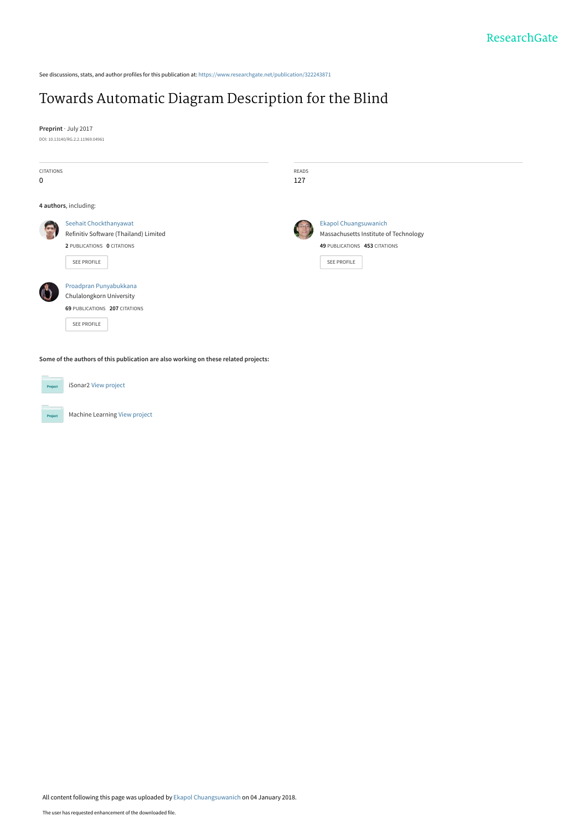See discussions, stats, and author profiles for this publication at: [https://www.researchgate.net/publication/322243871](https://www.researchgate.net/publication/322243871_Towards_Automatic_Diagram_Description_for_the_Blind?enrichId=rgreq-2316991c6eed5820d9f93d8260b7ff9a-XXX&enrichSource=Y292ZXJQYWdlOzMyMjI0Mzg3MTtBUzo1Nzg5NDA1NTQ4MTM0NDBAMTUxNTA0MTU5MjE2NQ%3D%3D&el=1_x_2&_esc=publicationCoverPdf)

## [Towards Automatic Diagram Description for the Blind](https://www.researchgate.net/publication/322243871_Towards_Automatic_Diagram_Description_for_the_Blind?enrichId=rgreq-2316991c6eed5820d9f93d8260b7ff9a-XXX&enrichSource=Y292ZXJQYWdlOzMyMjI0Mzg3MTtBUzo1Nzg5NDA1NTQ4MTM0NDBAMTUxNTA0MTU5MjE2NQ%3D%3D&el=1_x_3&_esc=publicationCoverPdf)

**Preprint** · July 2017 DOI: 10.13140/RG.2.2.11969.04961

| <b>CITATIONS</b><br>$\mathbf 0$ |                                                                                                              | READS<br>127 |                                                                                                                       |
|---------------------------------|--------------------------------------------------------------------------------------------------------------|--------------|-----------------------------------------------------------------------------------------------------------------------|
|                                 | 4 authors, including:                                                                                        |              |                                                                                                                       |
|                                 | Seehait Chockthanyawat<br>Refinitiv Software (Thailand) Limited<br>2 PUBLICATIONS 0 CITATIONS<br>SEE PROFILE |              | <b>Ekapol Chuangsuwanich</b><br>Massachusetts Institute of Technology<br>49 PUBLICATIONS 453 CITATIONS<br>SEE PROFILE |
|                                 | Proadpran Punyabukkana<br>Chulalongkorn University<br>69 PUBLICATIONS 207 CITATIONS<br><b>SEE PROFILE</b>    |              |                                                                                                                       |
|                                 | Some of the authors of this publication are also working on these related projects:                          |              |                                                                                                                       |
| Project                         | iSonar2 View project                                                                                         |              |                                                                                                                       |

Machine Learning [View project](https://www.researchgate.net/project/Machine-Learning-242?enrichId=rgreq-2316991c6eed5820d9f93d8260b7ff9a-XXX&enrichSource=Y292ZXJQYWdlOzMyMjI0Mzg3MTtBUzo1Nzg5NDA1NTQ4MTM0NDBAMTUxNTA0MTU5MjE2NQ%3D%3D&el=1_x_9&_esc=publicationCoverPdf)

Project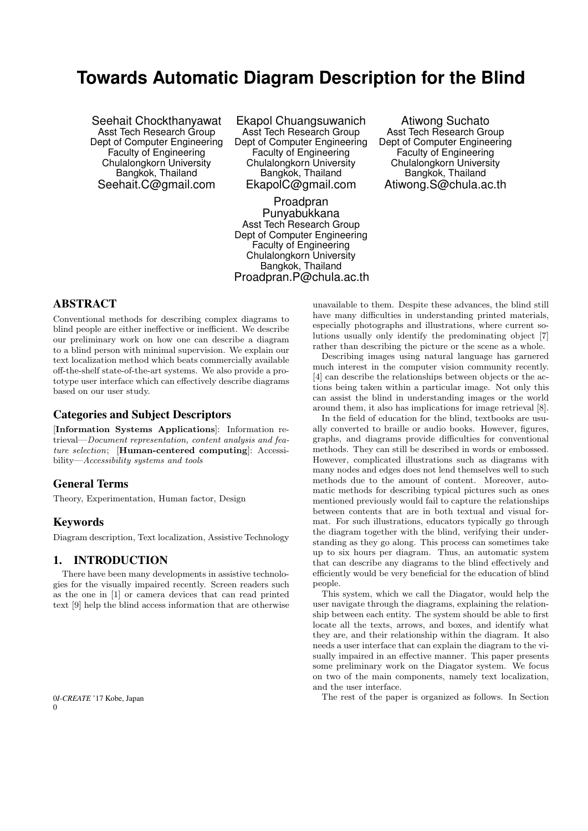# **Towards Automatic Diagram Description for the Blind**

Seehait Chockthanyawat Asst Tech Research Group Dept of Computer Engineering Faculty of Engineering Chulalongkorn University Bangkok, Thailand Seehait.C@gmail.com

Ekapol Chuangsuwanich Asst Tech Research Group Dept of Computer Engineering Faculty of Engineering Chulalongkorn University Bangkok, Thailand EkapolC@gmail.com

Proadpran Punyabukkana Asst Tech Research Group Dept of Computer Engineering Faculty of Engineering Chulalongkorn University Bangkok, Thailand Proadpran.P@chula.ac.th

Atiwong Suchato Asst Tech Research Group Dept of Computer Engineering Faculty of Engineering Chulalongkorn University Bangkok, Thailand Atiwong.S@chula.ac.th

## ABSTRACT

Conventional methods for describing complex diagrams to blind people are either ineffective or inefficient. We describe our preliminary work on how one can describe a diagram to a blind person with minimal supervision. We explain our text localization method which beats commercially available off-the-shelf state-of-the-art systems. We also provide a prototype user interface which can effectively describe diagrams based on our user study.

## Categories and Subject Descriptors

[Information Systems Applications]: Information retrieval—Document representation, content analysis and feature selection; [Human-centered computing]: Accessibility—Accessibility systems and tools

## General Terms

Theory, Experimentation, Human factor, Design

#### Keywords

Diagram description, Text localization, Assistive Technology

## 1. INTRODUCTION

There have been many developments in assistive technologies for the visually impaired recently. Screen readers such as the one in [1] or camera devices that can read printed text [9] help the blind access information that are otherwise

unavailable to them. Despite these advances, the blind still have many difficulties in understanding printed materials, especially photographs and illustrations, where current solutions usually only identify the predominating object [7] rather than describing the picture or the scene as a whole.

Describing images using natural language has garnered much interest in the computer vision community recently. [4] can describe the relationships between objects or the actions being taken within a particular image. Not only this can assist the blind in understanding images or the world around them, it also has implications for image retrieval [8].

In the field of education for the blind, textbooks are usually converted to braille or audio books. However, figures, graphs, and diagrams provide difficulties for conventional methods. They can still be described in words or embossed. However, complicated illustrations such as diagrams with many nodes and edges does not lend themselves well to such methods due to the amount of content. Moreover, automatic methods for describing typical pictures such as ones mentioned previously would fail to capture the relationships between contents that are in both textual and visual format. For such illustrations, educators typically go through the diagram together with the blind, verifying their understanding as they go along. This process can sometimes take up to six hours per diagram. Thus, an automatic system that can describe any diagrams to the blind effectively and efficiently would be very beneficial for the education of blind people.

This system, which we call the Diagator, would help the user navigate through the diagrams, explaining the relationship between each entity. The system should be able to first locate all the texts, arrows, and boxes, and identify what they are, and their relationship within the diagram. It also needs a user interface that can explain the diagram to the visually impaired in an effective manner. This paper presents some preliminary work on the Diagator system. We focus on two of the main components, namely text localization, and the user interface.

The rest of the paper is organized as follows. In Section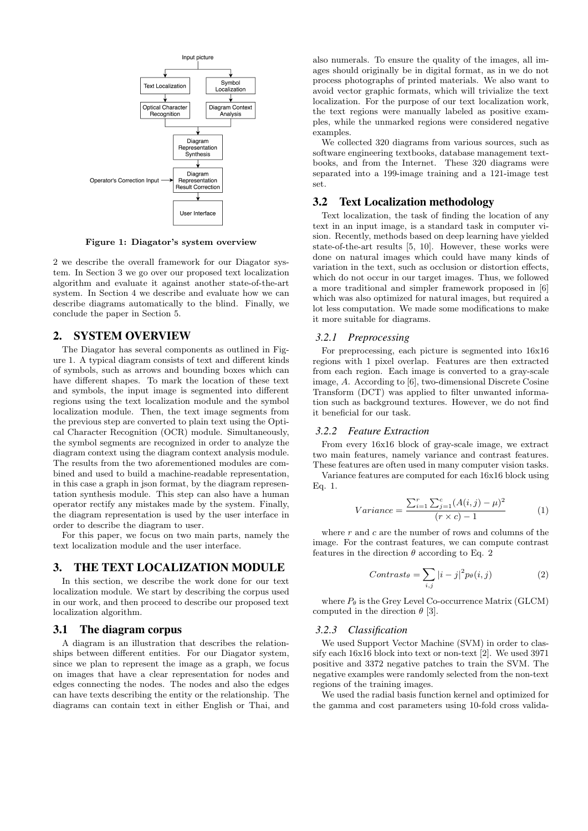

Figure 1: Diagator's system overview

2 we describe the overall framework for our Diagator system. In Section 3 we go over our proposed text localization algorithm and evaluate it against another state-of-the-art system. In Section 4 we describe and evaluate how we can describe diagrams automatically to the blind. Finally, we conclude the paper in Section 5.

## 2. SYSTEM OVERVIEW

The Diagator has several components as outlined in Figure 1. A typical diagram consists of text and different kinds of symbols, such as arrows and bounding boxes which can have different shapes. To mark the location of these text and symbols, the input image is segmented into different regions using the text localization module and the symbol localization module. Then, the text image segments from the previous step are converted to plain text using the Optical Character Recognition (OCR) module. Simultaneously, the symbol segments are recognized in order to analyze the diagram context using the diagram context analysis module. The results from the two aforementioned modules are combined and used to build a machine-readable representation, in this case a graph in json format, by the diagram representation synthesis module. This step can also have a human operator rectify any mistakes made by the system. Finally, the diagram representation is used by the user interface in order to describe the diagram to user.

For this paper, we focus on two main parts, namely the text localization module and the user interface.

## 3. THE TEXT LOCALIZATION MODULE

In this section, we describe the work done for our text localization module. We start by describing the corpus used in our work, and then proceed to describe our proposed text localization algorithm.

#### 3.1 The diagram corpus

A diagram is an illustration that describes the relationships between different entities. For our Diagator system, since we plan to represent the image as a graph, we focus on images that have a clear representation for nodes and edges connecting the nodes. The nodes and also the edges can have texts describing the entity or the relationship. The diagrams can contain text in either English or Thai, and

also numerals. To ensure the quality of the images, all images should originally be in digital format, as in we do not process photographs of printed materials. We also want to avoid vector graphic formats, which will trivialize the text localization. For the purpose of our text localization work, the text regions were manually labeled as positive examples, while the unmarked regions were considered negative examples.

We collected 320 diagrams from various sources, such as software engineering textbooks, database management textbooks, and from the Internet. These 320 diagrams were separated into a 199-image training and a 121-image test set.

## 3.2 Text Localization methodology

Text localization, the task of finding the location of any text in an input image, is a standard task in computer vision. Recently, methods based on deep learning have yielded state-of-the-art results [5, 10]. However, these works were done on natural images which could have many kinds of variation in the text, such as occlusion or distortion effects, which do not occur in our target images. Thus, we followed a more traditional and simpler framework proposed in [6] which was also optimized for natural images, but required a lot less computation. We made some modifications to make it more suitable for diagrams.

## *3.2.1 Preprocessing*

For preprocessing, each picture is segmented into 16x16 regions with 1 pixel overlap. Features are then extracted from each region. Each image is converted to a gray-scale image, A. According to [6], two-dimensional Discrete Cosine Transform (DCT) was applied to filter unwanted information such as background textures. However, we do not find it beneficial for our task.

#### *3.2.2 Feature Extraction*

From every 16x16 block of gray-scale image, we extract two main features, namely variance and contrast features. These features are often used in many computer vision tasks.

Variance features are computed for each 16x16 block using Eq. 1.

$$
Variance = \frac{\sum_{i=1}^{r} \sum_{j=1}^{c} (A(i,j) - \mu)^2}{(r \times c) - 1}
$$
 (1)

where  $r$  and  $c$  are the number of rows and columns of the image. For the contrast features, we can compute contrast features in the direction  $\theta$  according to Eq. 2

$$
Contrast_{\theta} = \sum_{i,j} |i - j|^2 p_{\theta}(i,j)
$$
 (2)

where  $P_{\theta}$  is the Grey Level Co-occurrence Matrix (GLCM) computed in the direction  $\theta$  [3].

#### *3.2.3 Classification*

We used Support Vector Machine (SVM) in order to classify each 16x16 block into text or non-text [2]. We used 3971 positive and 3372 negative patches to train the SVM. The negative examples were randomly selected from the non-text regions of the training images.

We used the radial basis function kernel and optimized for the gamma and cost parameters using 10-fold cross valida-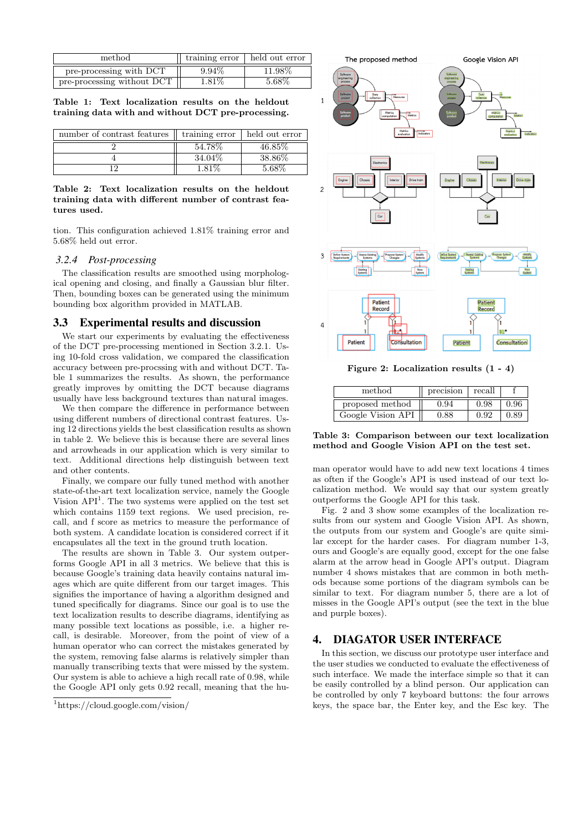| method                     | training error | held out error |
|----------------------------|----------------|----------------|
| pre-processing with DCT    | $9.94\%$       | 11.98%         |
| pre-processing without DCT | 1.81\%         | 5.68%          |

Table 1: Text localization results on the heldout training data with and without DCT pre-processing.

| number of contrast features | training error | held out error       |  |
|-----------------------------|----------------|----------------------|--|
|                             | 54.78%         | 46.85\%              |  |
|                             | 34.04%         | $38.\overline{86\%}$ |  |
|                             | $-81\%$        | 5.68%                |  |

#### Table 2: Text localization results on the heldout training data with different number of contrast features used.

tion. This configuration achieved 1.81% training error and 5.68% held out error.

#### *3.2.4 Post-processing*

The classification results are smoothed using morphological opening and closing, and finally a Gaussian blur filter. Then, bounding boxes can be generated using the minimum bounding box algorithm provided in MATLAB.

#### 3.3 Experimental results and discussion

We start our experiments by evaluating the effectiveness of the DCT pre-processing mentioned in Section 3.2.1. Using 10-fold cross validation, we compared the classification accuracy between pre-procssing with and without DCT. Table 1 summarizes the results. As shown, the performance greatly improves by omitting the DCT because diagrams usually have less background textures than natural images.

We then compare the difference in performance between using different numbers of directional contrast features. Using 12 directions yields the best classification results as shown in table 2. We believe this is because there are several lines and arrowheads in our application which is very similar to text. Additional directions help distinguish between text and other contents.

Finally, we compare our fully tuned method with another state-of-the-art text localization service, namely the Google Vision  $API<sup>1</sup>$ . The two systems were applied on the test set which contains 1159 text regions. We used precision, recall, and f score as metrics to measure the performance of both system. A candidate location is considered correct if it encapsulates all the text in the ground truth location.

The results are shown in Table 3. Our system outperforms Google API in all 3 metrics. We believe that this is because Google's training data heavily contains natural images which are quite different from our target images. This signifies the importance of having a algorithm designed and tuned specifically for diagrams. Since our goal is to use the text localization results to describe diagrams, identifying as many possible text locations as possible, i.e. a higher recall, is desirable. Moreover, from the point of view of a human operator who can correct the mistakes generated by the system, removing false alarms is relatively simpler than manually transcribing texts that were missed by the system. Our system is able to achieve a high recall rate of 0.98, while the Google API only gets 0.92 recall, meaning that the hu-



Figure 2: Localization results (1 - 4)

| method            | precision | recall |      |
|-------------------|-----------|--------|------|
| proposed method   | 0.94      | 0.98   | 0.96 |
| Google Vision API | -88       |        | 0.89 |

Table 3: Comparison between our text localization method and Google Vision API on the test set.

man operator would have to add new text locations 4 times as often if the Google's API is used instead of our text localization method. We would say that our system greatly outperforms the Google API for this task.

Fig. 2 and 3 show some examples of the localization results from our system and Google Vision API. As shown, the outputs from our system and Google's are quite similar except for the harder cases. For diagram number 1-3, ours and Google's are equally good, except for the one false alarm at the arrow head in Google API's output. Diagram number 4 shows mistakes that are common in both methods because some portions of the diagram symbols can be similar to text. For diagram number 5, there are a lot of misses in the Google API's output (see the text in the blue and purple boxes).

## 4. DIAGATOR USER INTERFACE

In this section, we discuss our prototype user interface and the user studies we conducted to evaluate the effectiveness of such interface. We made the interface simple so that it can be easily controlled by a blind person. Our application can be controlled by only 7 keyboard buttons: the four arrows keys, the space bar, the Enter key, and the Esc key. The

<sup>1</sup>https://cloud.google.com/vision/